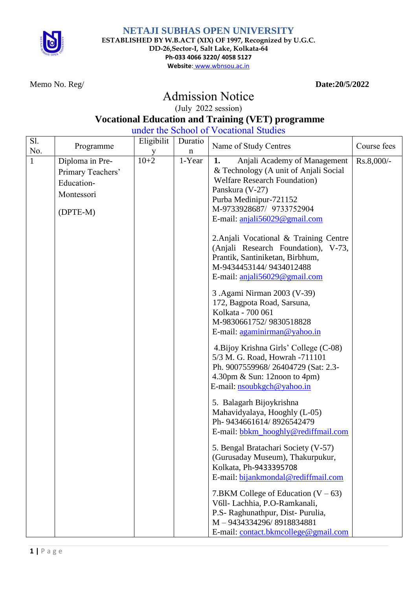

**NETAJI SUBHAS OPEN UNIVERSITY ESTABLISHED BY W.B.ACT (XIX) OF 1997, Recognized by U.G.C. DD-26,Sector-I, Salt Lake, Kolkata-64 Ph-033 4066 3220/ 4058 5127 Website**: www.wbnsou.ac.in

Memo No. Reg/ **Date:20/5/2022**

## Admission Notice

(July 2022 session)

## **Vocational Education and Training (VET) programme**

under the School of Vocational Studies

| Sl.<br>No. | Programme                                                                    | Eligibilit | Duratio<br>n | Name of Study Centres                                                                                                                                                                                                                                                                                                                                                                                                                                                                                                                                                                                                                                                                                                                                                                                                                                                                                                                                                                                                                                                                                                                                                                                           | Course fees |
|------------|------------------------------------------------------------------------------|------------|--------------|-----------------------------------------------------------------------------------------------------------------------------------------------------------------------------------------------------------------------------------------------------------------------------------------------------------------------------------------------------------------------------------------------------------------------------------------------------------------------------------------------------------------------------------------------------------------------------------------------------------------------------------------------------------------------------------------------------------------------------------------------------------------------------------------------------------------------------------------------------------------------------------------------------------------------------------------------------------------------------------------------------------------------------------------------------------------------------------------------------------------------------------------------------------------------------------------------------------------|-------------|
|            | Diploma in Pre-<br>Primary Teachers'<br>Education-<br>Montessori<br>(DPTE-M) | $10 + 2$   | 1-Year       | Anjali Academy of Management<br>1.<br>& Technology (A unit of Anjali Social<br><b>Welfare Research Foundation</b> )<br>Panskura (V-27)<br>Purba Medinipur-721152<br>M-9733928687/ 9733752904<br>E-mail: $aniali56029@gmail.com$<br>2. Anjali Vocational & Training Centre<br>(Anjali Research Foundation), V-73,<br>Prantik, Santiniketan, Birbhum,<br>M-9434453144/9434012488<br>E-mail: anjali56029@gmail.com<br>3 .Agami Nirman 2003 (V-39)<br>172, Bagpota Road, Sarsuna,<br>Kolkata - 700 061<br>M-9830661752/9830518828<br>E-mail: agaminirman@yahoo.in<br>4. Bijoy Krishna Girls' College (C-08)<br>5/3 M. G. Road, Howrah -711101<br>Ph. 9007559968/26404729 (Sat: 2.3-<br>4.30pm $\&$ Sun: 12noon to 4pm)<br>E-mail: nsoubkgch@yahoo.in<br>5. Balagarh Bijoykrishna<br>Mahavidyalaya, Hooghly (L-05)<br>Ph- 9434661614/8926542479<br>E-mail: bbkm_hooghly@rediffmail.com<br>5. Bengal Bratachari Society (V-57)<br>(Gurusaday Museum), Thakurpukur,<br>Kolkata, Ph-9433395708<br>E-mail: bijankmondal@rediffmail.com<br>7.BKM College of Education $(V - 63)$<br>V6ll- Lachhia, P.O-Ramkanali,<br>P.S- Raghunathpur, Dist- Purulia,<br>M-9434334296/8918834881<br>E-mail: contact.bkmcollege@gmail.com | Rs.8,000/-  |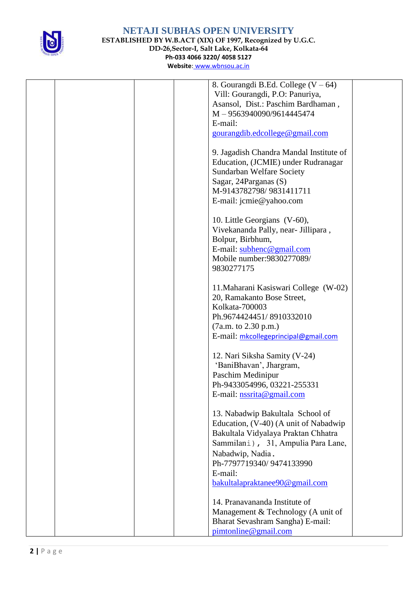

## **NETAJI SUBHAS OPEN UNIVERSITY ESTABLISHED BY W.B.ACT (XIX) OF 1997, Recognized by U.G.C. DD-26,Sector-I, Salt Lake, Kolkata-64 Ph-033 4066 3220/ 4058 5127**

|  | 8. Gourangdi B.Ed. College $(V - 64)$   |
|--|-----------------------------------------|
|  | Vill: Gourangdi, P.O: Panuriya,         |
|  | Asansol, Dist.: Paschim Bardhaman,      |
|  | M-9563940090/9614445474                 |
|  | E-mail:                                 |
|  | gourangdib.edcollege@gmail.com          |
|  |                                         |
|  |                                         |
|  | 9. Jagadish Chandra Mandal Institute of |
|  | Education, (JCMIE) under Rudranagar     |
|  | Sundarban Welfare Society               |
|  | Sagar, 24 Parganas (S)                  |
|  | M-9143782798/9831411711                 |
|  | E-mail: jcmie@yahoo.com                 |
|  |                                         |
|  | 10. Little Georgians (V-60),            |
|  | Vivekananda Pally, near- Jillipara,     |
|  | Bolpur, Birbhum,                        |
|  | E-mail: subhenc@gmail.com               |
|  | Mobile number: 9830277089/              |
|  | 9830277175                              |
|  |                                         |
|  |                                         |
|  | 11. Maharani Kasiswari College (W-02)   |
|  | 20, Ramakanto Bose Street,              |
|  | Kolkata-700003                          |
|  | Ph.9674424451/8910332010                |
|  | (7a.m. to 2.30 p.m.)                    |
|  | E-mail: mkcollegeprincipal@gmail.com    |
|  |                                         |
|  | 12. Nari Siksha Samity (V-24)           |
|  | 'BaniBhavan', Jhargram,                 |
|  | Paschim Medinipur                       |
|  | Ph-9433054996, 03221-255331             |
|  | E-mail: nssrita@gmail.com               |
|  |                                         |
|  | 13. Nabadwip Bakultala School of        |
|  | Education, (V-40) (A unit of Nabadwip   |
|  |                                         |
|  | Bakultala Vidyalaya Praktan Chhatra     |
|  | Sammilani), 31, Ampulia Para Lane,      |
|  | Nabadwip, Nadia.                        |
|  | Ph-7797719340/9474133990                |
|  | E-mail:                                 |
|  | bakultalapraktanee90@gmail.com          |
|  |                                         |
|  | 14. Pranavananda Institute of           |
|  | Management & Technology (A unit of      |
|  | Bharat Sevashram Sangha) E-mail:        |
|  | pimtonline@gmail.com                    |
|  |                                         |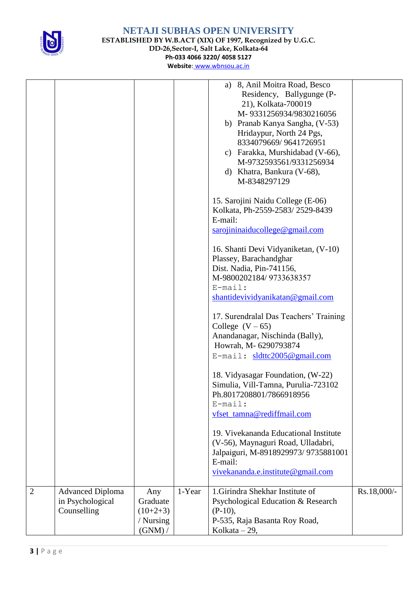

**NETAJI SUBHAS OPEN UNIVERSITY ESTABLISHED BY W.B.ACT (XIX) OF 1997, Recognized by U.G.C. DD-26,Sector-I, Salt Lake, Kolkata-64 Ph-033 4066 3220/ 4058 5127**

|                |                         |            |        | a) 8, Anil Moitra Road, Besco                    |             |
|----------------|-------------------------|------------|--------|--------------------------------------------------|-------------|
|                |                         |            |        | Residency, Ballygunge (P-<br>21), Kolkata-700019 |             |
|                |                         |            |        | M-9331256934/9830216056                          |             |
|                |                         |            |        | b) Pranab Kanya Sangha, (V-53)                   |             |
|                |                         |            |        | Hridaypur, North 24 Pgs,                         |             |
|                |                         |            |        | 8334079669/9641726951                            |             |
|                |                         |            |        | c) Farakka, Murshidabad (V-66),                  |             |
|                |                         |            |        | M-9732593561/9331256934                          |             |
|                |                         |            |        | d) Khatra, Bankura (V-68),<br>M-8348297129       |             |
|                |                         |            |        |                                                  |             |
|                |                         |            |        | 15. Sarojini Naidu College (E-06)                |             |
|                |                         |            |        | Kolkata, Ph-2559-2583/2529-8439                  |             |
|                |                         |            |        | E-mail:                                          |             |
|                |                         |            |        | sarojininaiducollege@gmail.com                   |             |
|                |                         |            |        | 16. Shanti Devi Vidyaniketan, (V-10)             |             |
|                |                         |            |        | Plassey, Barachandghar                           |             |
|                |                         |            |        | Dist. Nadia, Pin-741156,                         |             |
|                |                         |            |        | M-9800202184/9733638357                          |             |
|                |                         |            |        | $E$ -mail:<br>shantidevividyanikatan@gmail.com   |             |
|                |                         |            |        |                                                  |             |
|                |                         |            |        | 17. Surendralal Das Teachers' Training           |             |
|                |                         |            |        | College $(V-65)$                                 |             |
|                |                         |            |        | Anandanagar, Nischinda (Bally),                  |             |
|                |                         |            |        | Howrah, M- 6290793874                            |             |
|                |                         |            |        | E-mail: sldttc2005@gmail.com                     |             |
|                |                         |            |        | 18. Vidyasagar Foundation, (W-22)                |             |
|                |                         |            |        | Simulia, Vill-Tamna, Purulia-723102              |             |
|                |                         |            |        | Ph.8017208801/7866918956                         |             |
|                |                         |            |        | $E$ -mail:                                       |             |
|                |                         |            |        | vfset_tamna@rediffmail.com                       |             |
|                |                         |            |        | 19. Vivekananda Educational Institute            |             |
|                |                         |            |        | (V-56), Maynaguri Road, Ulladabri,               |             |
|                |                         |            |        | Jalpaiguri, M-8918929973/ 9735881001             |             |
|                |                         |            |        | E-mail:                                          |             |
|                |                         |            |        | vivekananda.e.institute@gmail.com                |             |
| $\overline{2}$ | <b>Advanced Diploma</b> | Any        | 1-Year | 1. Girindra Shekhar Institute of                 | Rs.18,000/- |
|                | in Psychological        | Graduate   |        | Psychological Education & Research               |             |
|                | Counselling             | $(10+2+3)$ |        | $(P-10),$                                        |             |
|                |                         | / Nursing  |        | P-535, Raja Basanta Roy Road,                    |             |
|                |                         | $(GNM)$ /  |        | Kolkata $-29$ ,                                  |             |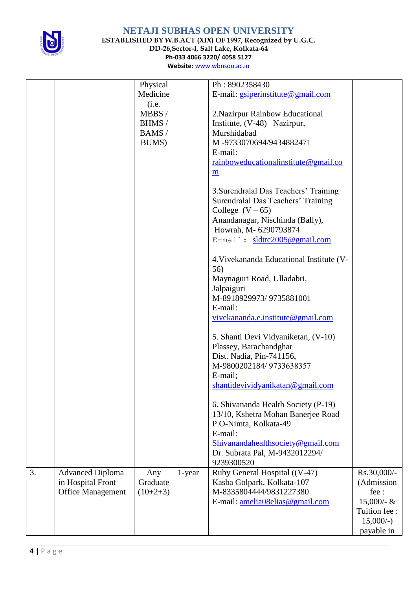

**ESTABLISHED BY W.B.ACT (XIX) OF 1997, Recognized by U.G.C.**

**DD-26,Sector-I, Salt Lake, Kolkata-64**

**Ph-033 4066 3220/ 4058 5127**

| Physical<br>Ph: 8902358430                                                      |               |
|---------------------------------------------------------------------------------|---------------|
| Medicine<br>E-mail: gsiperinstitute@gmail.com                                   |               |
| (i.e.                                                                           |               |
| MBBS/<br>2. Nazirpur Rainbow Educational                                        |               |
| BHMS/<br>Institute, (V-48) Nazirpur,                                            |               |
| Murshidabad<br>BAMS/                                                            |               |
| M-9733070694/9434882471<br>BUMS)                                                |               |
| E-mail:                                                                         |               |
| rainboweducational institute@gmail.co                                           |               |
| m                                                                               |               |
|                                                                                 |               |
| 3. Surendralal Das Teachers' Training                                           |               |
| Surendralal Das Teachers' Training                                              |               |
| College $(V-65)$                                                                |               |
| Anandanagar, Nischinda (Bally),                                                 |               |
| Howrah, M-6290793874                                                            |               |
| E-mail: sldttc2005@gmail.com                                                    |               |
|                                                                                 |               |
| 4. Vivekananda Educational Institute (V-                                        |               |
| 56)                                                                             |               |
| Maynaguri Road, Ulladabri,                                                      |               |
| Jalpaiguri                                                                      |               |
| M-8918929973/9735881001                                                         |               |
| E-mail:                                                                         |               |
| vivekananda.e.institute@gmail.com                                               |               |
|                                                                                 |               |
| 5. Shanti Devi Vidyaniketan, (V-10)                                             |               |
| Plassey, Barachandghar                                                          |               |
| Dist. Nadia, Pin-741156,                                                        |               |
| M-9800202184/9733638357                                                         |               |
| E-mail;                                                                         |               |
| shantidevividyanikatan@gmail.com                                                |               |
|                                                                                 |               |
| 6. Shivananda Health Society (P-19)                                             |               |
| 13/10, Kshetra Mohan Banerjee Road                                              |               |
| P.O-Nimta, Kolkata-49                                                           |               |
| E-mail:                                                                         |               |
| Shivanandahealthsociety@gmail.com                                               |               |
| Dr. Subrata Pal, M-9432012294/                                                  |               |
| 9239300520                                                                      |               |
| Ruby General Hospital ((V-47)<br>3.<br><b>Advanced Diploma</b><br>1-year<br>Any | Rs.30,000/-   |
| in Hospital Front<br>Graduate<br>Kasba Golpark, Kolkata-107                     | (Admission    |
| M-8335804444/9831227380<br><b>Office Management</b><br>$(10+2+3)$               | fee:          |
| E-mail: amelia08elias@gmail.com                                                 | $15,000 - \&$ |
|                                                                                 | Tuition fee:  |
|                                                                                 | $15,000/-$    |
|                                                                                 | payable in    |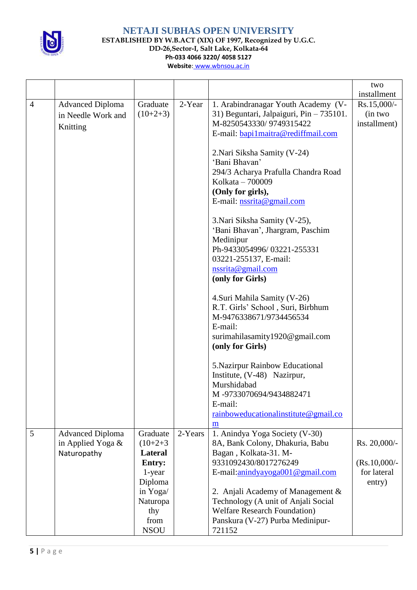

**ESTABLISHED BY W.B.ACT (XIX) OF 1997, Recognized by U.G.C.**

**DD-26,Sector-I, Salt Lake, Kolkata-64 Ph-033 4066 3220/ 4058 5127**

|                |                         |                      |         |                                                                          | two            |
|----------------|-------------------------|----------------------|---------|--------------------------------------------------------------------------|----------------|
|                |                         |                      |         |                                                                          | installment    |
| $\overline{4}$ | <b>Advanced Diploma</b> | Graduate             | 2-Year  | 1. Arabindranagar Youth Academy (V-                                      | Rs.15,000/-    |
|                | in Needle Work and      | $(10+2+3)$           |         | 31) Beguntari, Jalpaiguri, Pin - 735101.                                 | (in two        |
|                | Knitting                |                      |         | M-8250543330/9749315422                                                  | installment)   |
|                |                         |                      |         | E-mail: bapi1maitra@rediffmail.com                                       |                |
|                |                         |                      |         |                                                                          |                |
|                |                         |                      |         | 2. Nari Siksha Samity (V-24)                                             |                |
|                |                         |                      |         | 'Bani Bhavan'                                                            |                |
|                |                         |                      |         | 294/3 Acharya Prafulla Chandra Road                                      |                |
|                |                         |                      |         | Kolkata - 700009                                                         |                |
|                |                         |                      |         | (Only for girls),                                                        |                |
|                |                         |                      |         | E-mail: $nssrita@gmail.com$                                              |                |
|                |                         |                      |         | 3. Nari Siksha Samity (V-25),                                            |                |
|                |                         |                      |         | 'Bani Bhavan', Jhargram, Paschim                                         |                |
|                |                         |                      |         | Medinipur                                                                |                |
|                |                         |                      |         | Ph-9433054996/03221-255331                                               |                |
|                |                         |                      |         | 03221-255137, E-mail:                                                    |                |
|                |                         |                      |         | nssrita@gmail.com                                                        |                |
|                |                         |                      |         | (only for Girls)                                                         |                |
|                |                         |                      |         | 4. Suri Mahila Samity (V-26)                                             |                |
|                |                         |                      |         | R.T. Girls' School, Suri, Birbhum                                        |                |
|                |                         |                      |         | M-9476338671/9734456534                                                  |                |
|                |                         |                      |         | E-mail:                                                                  |                |
|                |                         |                      |         | surimahilasamity1920@gmail.com                                           |                |
|                |                         |                      |         | (only for Girls)                                                         |                |
|                |                         |                      |         | 5. Nazirpur Rainbow Educational                                          |                |
|                |                         |                      |         | Institute, (V-48) Nazirpur,                                              |                |
|                |                         |                      |         | Murshidabad                                                              |                |
|                |                         |                      |         | M-9733070694/9434882471                                                  |                |
|                |                         |                      |         | E-mail:                                                                  |                |
|                |                         |                      |         | rainboweducational institute@gmail.co                                    |                |
|                |                         |                      |         | m                                                                        |                |
| 5              | <b>Advanced Diploma</b> | Graduate             | 2-Years | 1. Anindya Yoga Society (V-30)                                           |                |
|                | in Applied Yoga &       | $(10+2+3)$           |         | 8A, Bank Colony, Dhakuria, Babu                                          | Rs. 20,000/-   |
|                | Naturopathy             | <b>Lateral</b>       |         | Bagan, Kolkata-31. M-                                                    |                |
|                |                         | <b>Entry:</b>        |         | 9331092430/8017276249                                                    | $(Rs.10,000/-$ |
|                |                         | 1-year               |         | E-mail:anindyayoga001@gmail.com                                          | for lateral    |
|                |                         | Diploma              |         |                                                                          | entry)         |
|                |                         | in Yoga/<br>Naturopa |         | 2. Anjali Academy of Management &<br>Technology (A unit of Anjali Social |                |
|                |                         | thy                  |         | <b>Welfare Research Foundation</b> )                                     |                |
|                |                         | from                 |         | Panskura (V-27) Purba Medinipur-                                         |                |
|                |                         | <b>NSOU</b>          |         | 721152                                                                   |                |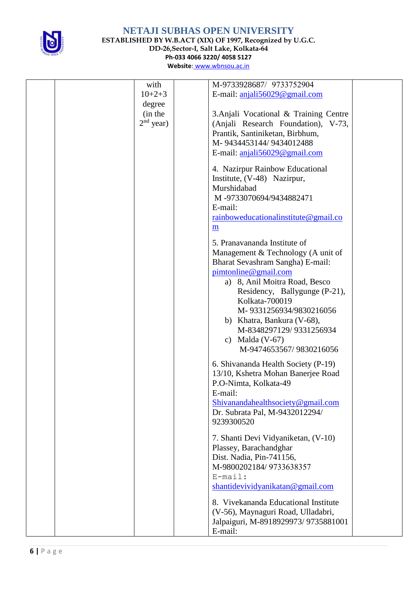

**ESTABLISHED BY W.B.ACT (XIX) OF 1997, Recognized by U.G.C. DD-26,Sector-I, Salt Lake, Kolkata-64**

**Ph-033 4066 3220/ 4058 5127**

| with        | M-9733928687/ 9733752904               |  |
|-------------|----------------------------------------|--|
| $10+2+3$    | E-mail: $aniali56029@gmail.com$        |  |
| degree      |                                        |  |
| (in the     | 3. Anjali Vocational & Training Centre |  |
| $2nd$ year) | (Anjali Research Foundation), V-73,    |  |
|             | Prantik, Santiniketan, Birbhum,        |  |
|             | M-9434453144/9434012488                |  |
|             | E-mail: anjali56029@gmail.com          |  |
|             |                                        |  |
|             | 4. Nazirpur Rainbow Educational        |  |
|             | Institute, (V-48) Nazirpur,            |  |
|             | Murshidabad                            |  |
|             | M-9733070694/9434882471                |  |
|             | E-mail:                                |  |
|             | rainboweducational institute@gmail.co  |  |
|             |                                        |  |
|             | m                                      |  |
|             | 5. Pranavananda Institute of           |  |
|             | Management & Technology (A unit of     |  |
|             | Bharat Sevashram Sangha) E-mail:       |  |
|             | pimtonline@gmail.com                   |  |
|             | a) 8, Anil Moitra Road, Besco          |  |
|             | Residency, Ballygunge (P-21),          |  |
|             | Kolkata-700019                         |  |
|             | M-9331256934/9830216056                |  |
|             |                                        |  |
|             | b) Khatra, Bankura (V-68),             |  |
|             | M-8348297129/9331256934                |  |
|             | c) Malda $(V-67)$                      |  |
|             | M-9474653567/9830216056                |  |
|             | 6. Shivananda Health Society (P-19)    |  |
|             | 13/10, Kshetra Mohan Banerjee Road     |  |
|             | P.O-Nimta, Kolkata-49                  |  |
|             | E-mail:                                |  |
|             | Shivanandahealthsociety@gmail.com      |  |
|             | Dr. Subrata Pal, M-9432012294/         |  |
|             | 9239300520                             |  |
|             |                                        |  |
|             | 7. Shanti Devi Vidyaniketan, (V-10)    |  |
|             | Plassey, Barachandghar                 |  |
|             | Dist. Nadia, Pin-741156,               |  |
|             | M-9800202184/9733638357                |  |
|             | $E$ -mail:                             |  |
|             | shantidevividyanikatan@gmail.com       |  |
|             |                                        |  |
|             | 8. Vivekananda Educational Institute   |  |
|             | (V-56), Maynaguri Road, Ulladabri,     |  |
|             | Jalpaiguri, M-8918929973/9735881001    |  |
|             | E-mail:                                |  |
|             |                                        |  |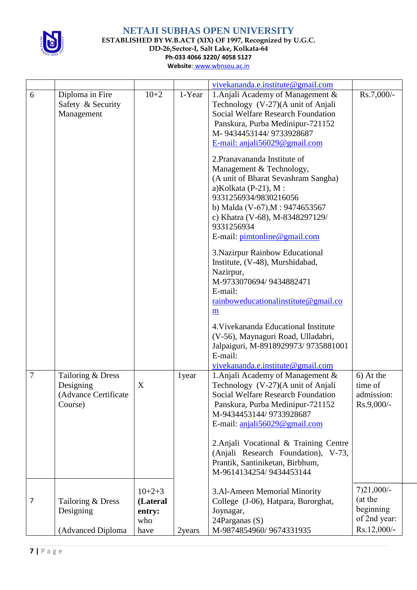

**NETAJI SUBHAS OPEN UNIVERSITY ESTABLISHED BY W.B.ACT (XIX) OF 1997, Recognized by U.G.C. DD-26,Sector-I, Salt Lake, Kolkata-64 Ph-033 4066 3220/ 4058 5127**

|                |                                                                   |                                               |        | vivekananda.e.institute@gmail.com                                                                                                                                                                                                                                                                                                                                                                                                                                                                                                                                                                                                                                                                                                                                                                                                          |                                                                     |
|----------------|-------------------------------------------------------------------|-----------------------------------------------|--------|--------------------------------------------------------------------------------------------------------------------------------------------------------------------------------------------------------------------------------------------------------------------------------------------------------------------------------------------------------------------------------------------------------------------------------------------------------------------------------------------------------------------------------------------------------------------------------------------------------------------------------------------------------------------------------------------------------------------------------------------------------------------------------------------------------------------------------------------|---------------------------------------------------------------------|
| 6              | Diploma in Fire<br>Safety & Security<br>Management                | $10+2$                                        | 1-Year | 1. Anjali Academy of Management &<br>Technology (V-27)(A unit of Anjali<br><b>Social Welfare Research Foundation</b><br>Panskura, Purba Medinipur-721152<br>M-9434453144/9733928687<br>E-mail: anjali56029@gmail.com<br>2. Pranavananda Institute of<br>Management & Technology,<br>(A unit of Bharat Sevashram Sangha)<br>a) Kolkata (P-21), M:<br>9331256934/9830216056<br>b) Malda (V-67), M: 9474653567<br>c) Khatra (V-68), M-8348297129/<br>9331256934<br>E-mail: pimtonline@gmail.com<br>3. Nazirpur Rainbow Educational<br>Institute, (V-48), Murshidabad,<br>Nazirpur,<br>M-9733070694/9434882471<br>E-mail:<br>rainboweducational institute @ gmail.co<br>m<br>4. Vivekananda Educational Institute<br>(V-56), Maynaguri Road, Ulladabri,<br>Jalpaiguri, M-8918929973/9735881001<br>E-mail:<br>vivekananda.e.institute@gmail.com | Rs.7,000/-                                                          |
| $\overline{7}$ | Tailoring & Dress<br>Designing<br>(Advance Certificate<br>Course) | X                                             | 1year  | 1. Anjali Academy of Management &<br>Technology (V-27)(A unit of Anjali<br><b>Social Welfare Research Foundation</b><br>Panskura, Purba Medinipur-721152<br>M-9434453144/9733928687<br>E-mail: anjali56029@gmail.com<br>2. Anjali Vocational & Training Centre<br>(Anjali Research Foundation), V-73,<br>Prantik, Santiniketan, Birbhum,<br>M-9614134254/9434453144                                                                                                                                                                                                                                                                                                                                                                                                                                                                        | 6) At the<br>time of<br>admission:<br>Rs.9,000/-                    |
| 7              | Tailoring & Dress<br>Designing<br>(Advanced Diploma               | $10+2+3$<br>(Lateral<br>entry:<br>who<br>have | 2years | 3.Al-Ameen Memorial Minority<br>College (J-06), Hatpara, Burorghat,<br>Joynagar,<br>24Parganas (S)<br>M-9874854960/9674331935                                                                                                                                                                                                                                                                                                                                                                                                                                                                                                                                                                                                                                                                                                              | $7)21,000/-$<br>(at the<br>beginning<br>of 2nd year:<br>Rs.12,000/- |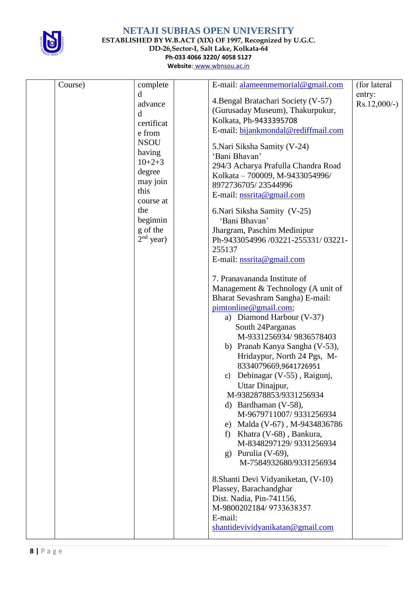

**ESTABLISHED BY W.B.ACT (XIX) OF 1997, Recognized by U.G.C.**

**DD-26,Sector-I, Salt Lake, Kolkata-64**

**Ph-033 4066 3220/ 4058 5127**

| Website: www.wbnsou.ac.in |  |
|---------------------------|--|
|                           |  |

| Course) | complete                                                                                                                                     | E-mail: alameenmemorial@gmail.com                                                                                                                                                                                                                                                                                                                                        | (for lateral              |
|---------|----------------------------------------------------------------------------------------------------------------------------------------------|--------------------------------------------------------------------------------------------------------------------------------------------------------------------------------------------------------------------------------------------------------------------------------------------------------------------------------------------------------------------------|---------------------------|
|         | d<br>advance<br>d<br>certificat<br>e from<br><b>NSOU</b><br>having<br>$10+2+3$<br>degree<br>may join<br>this<br>course at<br>the<br>beginnin | 4. Bengal Bratachari Society (V-57)<br>(Gurusaday Museum), Thakurpukur,<br>Kolkata, Ph-9433395708<br>E-mail: bijankmondal@rediffmail.com<br>5. Nari Siksha Samity (V-24)<br>'Bani Bhavan'<br>294/3 Acharya Prafulla Chandra Road<br>Kolkata - 700009, M-9433054996/<br>8972736705/23544996<br>E-mail: nssrita@gmail.com<br>6. Nari Siksha Samity (V-25)<br>'Bani Bhavan' | entry:<br>$Rs.12,000/-$ ) |
|         | g of the<br>$2nd$ year)                                                                                                                      | Jhargram, Paschim Medinipur<br>Ph-9433054996 /03221-255331/03221-<br>255137<br>E-mail: nssrita@gmail.com<br>7. Pranavananda Institute of<br>Management & Technology (A unit of<br>Bharat Sevashram Sangha) E-mail:<br>pimtonline@gmail.com;<br>a) Diamond Harbour (V-37)<br>South 24 Parganas<br>M-9331256934/9836578403<br>b) Pranab Kanya Sangha (V-53),               |                           |
|         |                                                                                                                                              | Hridaypur, North 24 Pgs, M-<br>8334079669,9641726951<br>Debinagar (V-55), Raigunj,<br>C)<br>Uttar Dinajpur,<br>M-9382878853/9331256934<br>d) Bardhaman $(V-58)$ ,<br>M-9679711007/9331256934<br>e) Malda (V-67), M-9434836786<br>f) Khatra (V-68), Bankura,<br>M-8348297129/9331256934<br>g) Purulia $(V-69)$ ,<br>M-7584932680/9331256934                               |                           |
|         |                                                                                                                                              | 8. Shanti Devi Vidyaniketan, (V-10)<br>Plassey, Barachandghar<br>Dist. Nadia, Pin-741156,<br>M-9800202184/9733638357<br>E-mail:<br>shantidevividyanikatan@gmail.com                                                                                                                                                                                                      |                           |